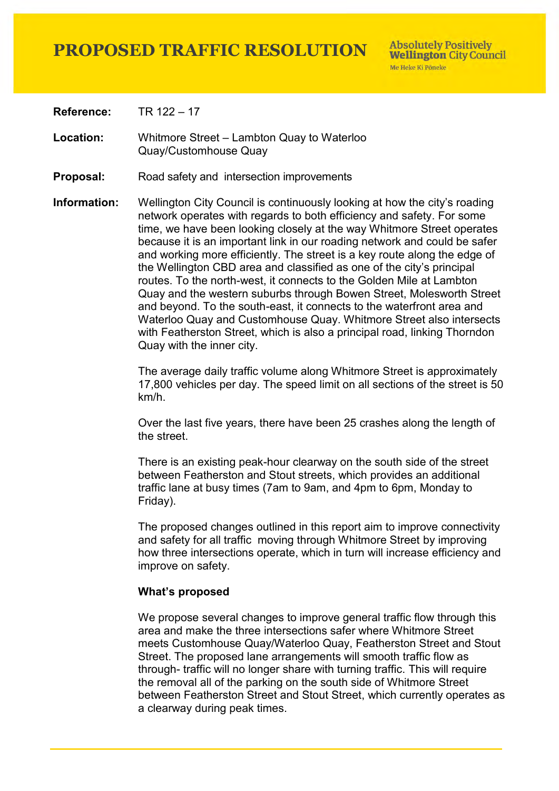**Reference:** TR 122 – 17

**Location:** Whitmore Street – Lambton Quay to Waterloo Quay/Customhouse Quay

- **Proposal:** Road safety and intersection improvements
- **Information:** Wellington City Council is continuously looking at how the city's roading network operates with regards to both efficiency and safety. For some time, we have been looking closely at the way Whitmore Street operates because it is an important link in our roading network and could be safer and working more efficiently. The street is a key route along the edge of the Wellington CBD area and classified as one of the city's principal routes. To the north-west, it connects to the Golden Mile at Lambton Quay and the western suburbs through Bowen Street, Molesworth Street and beyond. To the south-east, it connects to the waterfront area and Waterloo Quay and Customhouse Quay. Whitmore Street also intersects with Featherston Street, which is also a principal road, linking Thorndon Quay with the inner city.

The average daily traffic volume along Whitmore Street is approximately 17,800 vehicles per day. The speed limit on all sections of the street is 50 km/h.

Over the last five years, there have been 25 crashes along the length of the street.

There is an existing peak-hour clearway on the south side of the street between Featherston and Stout streets, which provides an additional traffic lane at busy times (7am to 9am, and 4pm to 6pm, Monday to Friday).

The proposed changes outlined in this report aim to improve connectivity and safety for all traffic moving through Whitmore Street by improving how three intersections operate, which in turn will increase efficiency and improve on safety.

#### **What's proposed**

We propose several changes to improve general traffic flow through this area and make the three intersections safer where Whitmore Street meets Customhouse Quay/Waterloo Quay, Featherston Street and Stout Street. The proposed lane arrangements will smooth traffic flow as through- traffic will no longer share with turning traffic. This will require the removal all of the parking on the south side of Whitmore Street between Featherston Street and Stout Street, which currently operates as a clearway during peak times.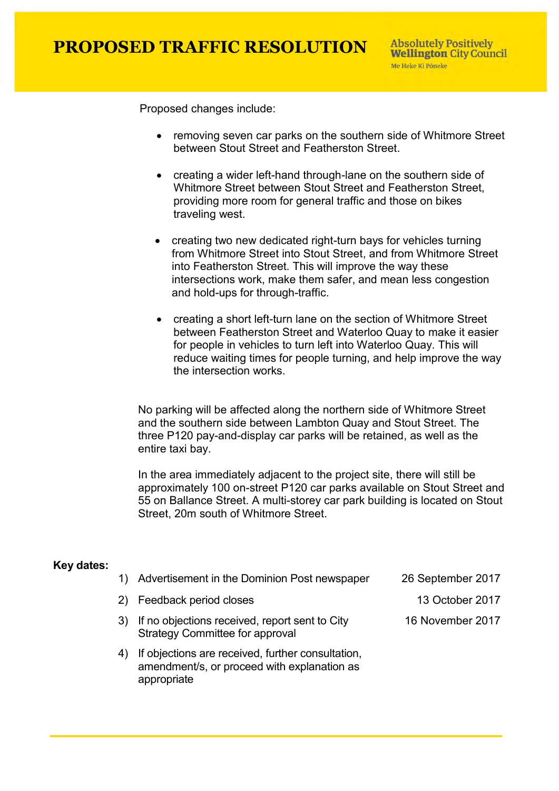**Absolutely Positively Wellington City Council** Me Heke Ki Pôneke

Proposed changes include:

- removing seven car parks on the southern side of Whitmore Street between Stout Street and Featherston Street.
- creating a wider left-hand through-lane on the southern side of Whitmore Street between Stout Street and Featherston Street, providing more room for general traffic and those on bikes traveling west.
- creating two new dedicated right-turn bays for vehicles turning from Whitmore Street into Stout Street, and from Whitmore Street into Featherston Street. This will improve the way these intersections work, make them safer, and mean less congestion and hold-ups for through-traffic.
- creating a short left-turn lane on the section of Whitmore Street between Featherston Street and Waterloo Quay to make it easier for people in vehicles to turn left into Waterloo Quay. This will reduce waiting times for people turning, and help improve the way the intersection works.

No parking will be affected along the northern side of Whitmore Street and the southern side between Lambton Quay and Stout Street. The three P120 pay-and-display car parks will be retained, as well as the entire taxi bay.

In the area immediately adjacent to the project site, there will still be approximately 100 on-street P120 car parks available on Stout Street and 55 on Ballance Street. A multi-storey car park building is located on Stout Street, 20m south of Whitmore Street.

#### **Key dates:**

appropriate

| 1) Advertisement in the Dominion Post newspaper                                                  | 26 September 2017 |
|--------------------------------------------------------------------------------------------------|-------------------|
| 2) Feedback period closes                                                                        | 13 October 2017   |
| If no objections received, report sent to City<br><b>Strategy Committee for approval</b>         | 16 November 2017  |
| If objections are received, further consultation,<br>amendment/s, or proceed with explanation as |                   |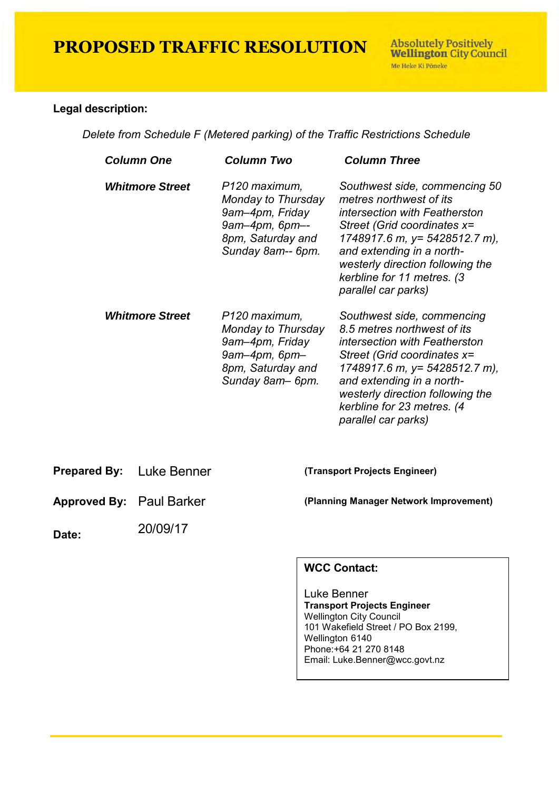**Absolutely Positively Wellington City Council** Me Heke Ki Põneke

#### **Legal description:**

*Delete from Schedule F (Metered parking) of the Traffic Restrictions Schedule* 

| <b>Column One</b>      | <b>Column Two</b>                                                                                                      | <b>Column Three</b>                                                                                                                                                                                                                                                              |
|------------------------|------------------------------------------------------------------------------------------------------------------------|----------------------------------------------------------------------------------------------------------------------------------------------------------------------------------------------------------------------------------------------------------------------------------|
| <b>Whitmore Street</b> | P120 maximum,<br>Monday to Thursday<br>9am-4pm, Friday<br>9am-4pm, 6pm--<br>8pm, Saturday and<br>Sunday 8am-- 6pm.     | Southwest side, commencing 50<br>metres northwest of its<br>intersection with Featherston<br>Street (Grid coordinates x=<br>1748917.6 m, y= 5428512.7 m),<br>and extending in a north-<br>westerly direction following the<br>kerbline for 11 metres. (3<br>parallel car parks)  |
| <b>Whitmore Street</b> | P120 maximum,<br>Monday to Thursday<br>9am–4pm, Friday<br>$9am-4pm$ , $6pm-$<br>8pm, Saturday and<br>Sunday 8am - 6pm. | Southwest side, commencing<br>8.5 metres northwest of its<br>intersection with Featherston<br>Street (Grid coordinates x=<br>1748917.6 m, y= 5428512.7 m),<br>and extending in a north-<br>westerly direction following the<br>kerbline for 23 metres. (4<br>parallel car parks) |

**Prepared By:** Luke Benner **(Transport Projects Engineer)**

**Approved By:** Paul Barker **(Planning Manager Network Improvement)**

**Date:**  20/09/17

### **WCC Contact:**

Luke Benner **Transport Projects Engineer** Wellington City Council 101 Wakefield Street / PO Box 2199, Wellington 6140 Phone:+64 21 270 8148 Email: Luke.Benner@wcc.govt.nz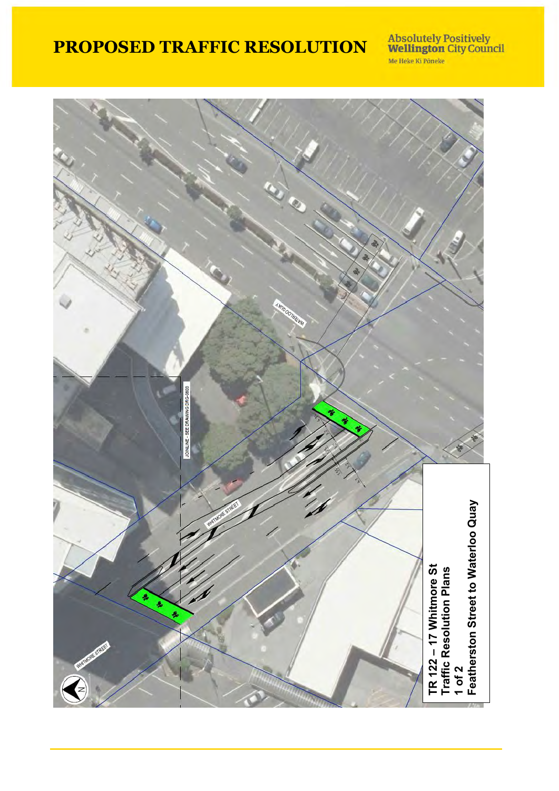**Absolutely Positively<br>Wellington City Council** Me Heke Ki Pôneke